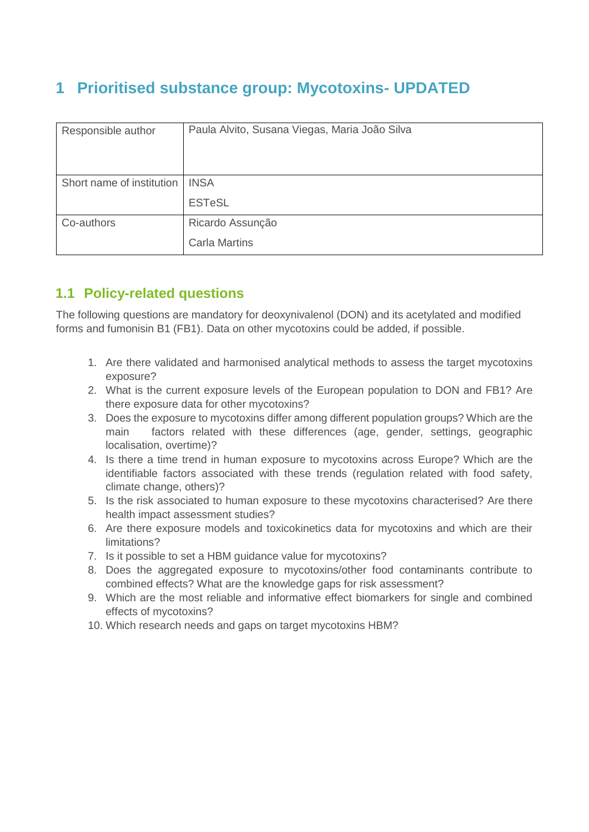## **1 Prioritised substance group: Mycotoxins- UPDATED**

| Responsible author        | Paula Alvito, Susana Viegas, Maria João Silva |  |  |
|---------------------------|-----------------------------------------------|--|--|
| Short name of institution | <b>INSA</b>                                   |  |  |
|                           | <b>ESTeSL</b>                                 |  |  |
| Co-authors                | Ricardo Assunção                              |  |  |
|                           | <b>Carla Martins</b>                          |  |  |

## **1.1 Policy-related questions**

The following questions are mandatory for deoxynivalenol (DON) and its acetylated and modified forms and fumonisin B1 (FB1). Data on other mycotoxins could be added, if possible.

- 1. Are there validated and harmonised analytical methods to assess the target mycotoxins exposure?
- 2. What is the current exposure levels of the European population to DON and FB1? Are there exposure data for other mycotoxins?
- 3. Does the exposure to mycotoxins differ among different population groups? Which are the main factors related with these differences (age, gender, settings, geographic localisation, overtime)?
- 4. Is there a time trend in human exposure to mycotoxins across Europe? Which are the identifiable factors associated with these trends (regulation related with food safety, climate change, others)?
- 5. Is the risk associated to human exposure to these mycotoxins characterised? Are there health impact assessment studies?
- 6. Are there exposure models and toxicokinetics data for mycotoxins and which are their limitations?
- 7. Is it possible to set a HBM guidance value for mycotoxins?
- 8. Does the aggregated exposure to mycotoxins/other food contaminants contribute to combined effects? What are the knowledge gaps for risk assessment?
- 9. Which are the most reliable and informative effect biomarkers for single and combined effects of mycotoxins?
- 10. Which research needs and gaps on target mycotoxins HBM?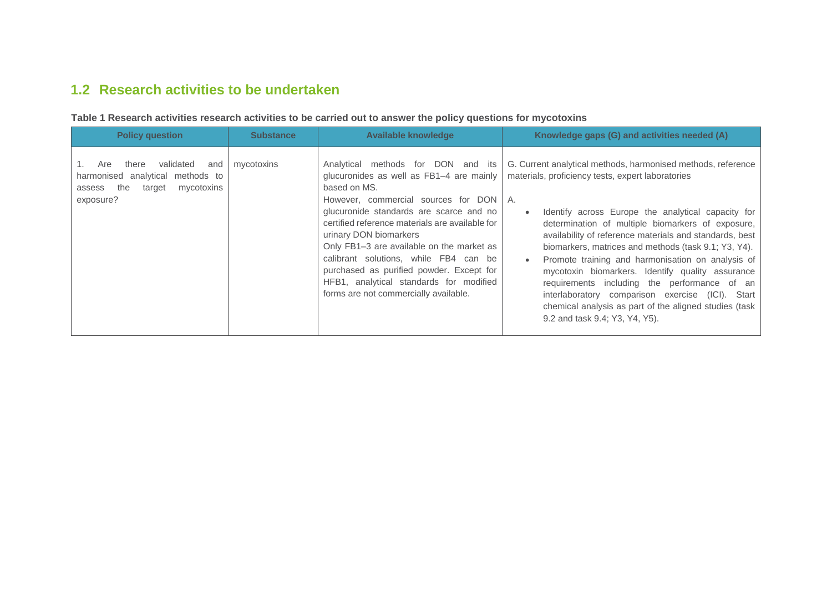## **1.2 Research activities to be undertaken**

| <b>Policy question</b>                                                                                                     | <b>Substance</b> | <b>Available knowledge</b>                                                                                                                                                                                                                                                                                                                                                                                                                                                               | Knowledge gaps (G) and activities needed (A)                                                                                                                                                                                                                                                                                                                                                                                                                                                                                                                                                                                                             |
|----------------------------------------------------------------------------------------------------------------------------|------------------|------------------------------------------------------------------------------------------------------------------------------------------------------------------------------------------------------------------------------------------------------------------------------------------------------------------------------------------------------------------------------------------------------------------------------------------------------------------------------------------|----------------------------------------------------------------------------------------------------------------------------------------------------------------------------------------------------------------------------------------------------------------------------------------------------------------------------------------------------------------------------------------------------------------------------------------------------------------------------------------------------------------------------------------------------------------------------------------------------------------------------------------------------------|
| validated<br>Are<br>there<br>and<br>harmonised analytical methods to<br>the<br>mycotoxins<br>target<br>assess<br>exposure? | mycotoxins       | Analytical methods for DON and its<br>glucuronides as well as FB1-4 are mainly<br>based on MS.<br>However, commercial sources for DON   A.<br>glucuronide standards are scarce and no<br>certified reference materials are available for<br>urinary DON biomarkers<br>Only FB1-3 are available on the market as<br>calibrant solutions, while FB4 can be<br>purchased as purified powder. Except for<br>HFB1, analytical standards for modified<br>forms are not commercially available. | G. Current analytical methods, harmonised methods, reference<br>materials, proficiency tests, expert laboratories<br>Identify across Europe the analytical capacity for<br>determination of multiple biomarkers of exposure,<br>availability of reference materials and standards, best<br>biomarkers, matrices and methods (task 9.1; Y3, Y4).<br>Promote training and harmonisation on analysis of<br>mycotoxin biomarkers. Identify quality assurance<br>requirements including the performance of an<br>interlaboratory comparison exercise (ICI). Start<br>chemical analysis as part of the aligned studies (task<br>9.2 and task 9.4; Y3, Y4, Y5). |

**Table 1 Research activities research activities to be carried out to answer the policy questions for mycotoxins**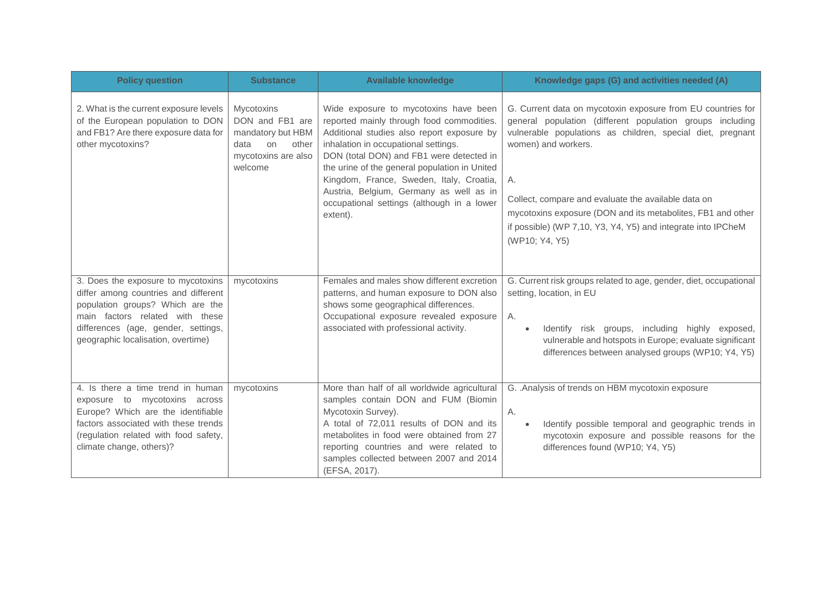| <b>Policy question</b>                                                                                                                                                                                                         | <b>Substance</b>                                                                                                   | <b>Available knowledge</b>                                                                                                                                                                                                                                                                                                                                                                                             | Knowledge gaps (G) and activities needed (A)                                                                                                                                                                                                                                                                                                                                                                                |
|--------------------------------------------------------------------------------------------------------------------------------------------------------------------------------------------------------------------------------|--------------------------------------------------------------------------------------------------------------------|------------------------------------------------------------------------------------------------------------------------------------------------------------------------------------------------------------------------------------------------------------------------------------------------------------------------------------------------------------------------------------------------------------------------|-----------------------------------------------------------------------------------------------------------------------------------------------------------------------------------------------------------------------------------------------------------------------------------------------------------------------------------------------------------------------------------------------------------------------------|
| 2. What is the current exposure levels<br>of the European population to DON<br>and FB1? Are there exposure data for<br>other mycotoxins?                                                                                       | <b>Mycotoxins</b><br>DON and FB1 are<br>mandatory but HBM<br>data<br>on<br>other<br>mycotoxins are also<br>welcome | Wide exposure to mycotoxins have been<br>reported mainly through food commodities.<br>Additional studies also report exposure by<br>inhalation in occupational settings.<br>DON (total DON) and FB1 were detected in<br>the urine of the general population in United<br>Kingdom, France, Sweden, Italy, Croatia,<br>Austria, Belgium, Germany as well as in<br>occupational settings (although in a lower<br>extent). | G. Current data on mycotoxin exposure from EU countries for<br>general population (different population groups including<br>vulnerable populations as children, special diet, pregnant<br>women) and workers.<br>А.<br>Collect, compare and evaluate the available data on<br>mycotoxins exposure (DON and its metabolites, FB1 and other<br>if possible) (WP 7,10, Y3, Y4, Y5) and integrate into IPCheM<br>(WP10; Y4, Y5) |
| 3. Does the exposure to mycotoxins<br>differ among countries and different<br>population groups? Which are the<br>main factors related with these<br>differences (age, gender, settings,<br>geographic localisation, overtime) | mycotoxins                                                                                                         | Females and males show different excretion<br>patterns, and human exposure to DON also<br>shows some geographical differences.<br>Occupational exposure revealed exposure<br>associated with professional activity.                                                                                                                                                                                                    | G. Current risk groups related to age, gender, diet, occupational<br>setting, location, in EU<br>А.<br>Identify risk groups, including highly exposed,<br>$\bullet$<br>vulnerable and hotspots in Europe; evaluate significant<br>differences between analysed groups (WP10; Y4, Y5)                                                                                                                                        |
| 4. Is there a time trend in human<br>exposure to mycotoxins across<br>Europe? Which are the identifiable<br>factors associated with these trends<br>(regulation related with food safety,<br>climate change, others)?          | mycotoxins                                                                                                         | More than half of all worldwide agricultural<br>samples contain DON and FUM (Biomin<br>Mycotoxin Survey).<br>A total of 72,011 results of DON and its<br>metabolites in food were obtained from 27<br>reporting countries and were related to<br>samples collected between 2007 and 2014<br>(EFSA, 2017).                                                                                                              | G. . Analysis of trends on HBM mycotoxin exposure<br>Α.<br>Identify possible temporal and geographic trends in<br>$\bullet$<br>mycotoxin exposure and possible reasons for the<br>differences found (WP10; Y4, Y5)                                                                                                                                                                                                          |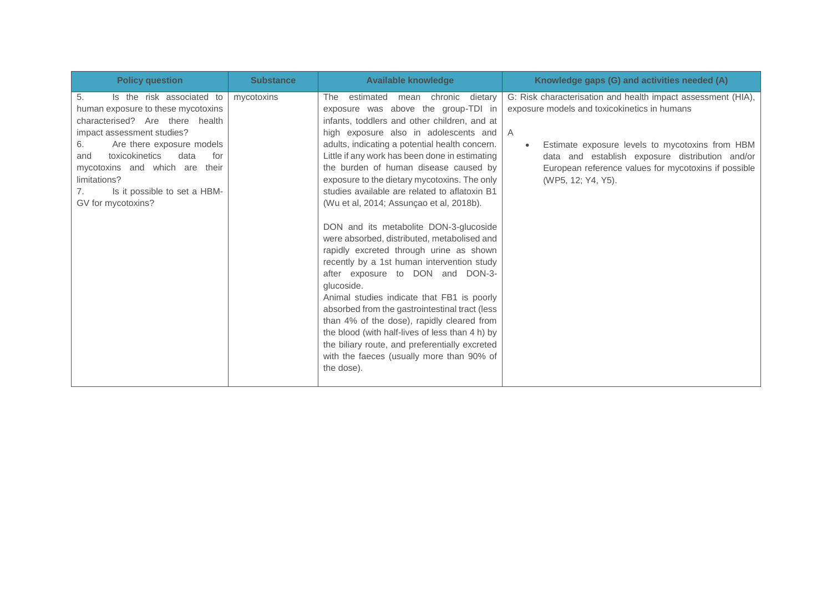| <b>Policy question</b>                                                                                                                                                                                                                                                                                                             | <b>Substance</b> | <b>Available knowledge</b>                                                                                                                                                                                                                                                                                                                                                                                                                                                                                                                                                                                                                                                                                                                                                                                                                                                                                                                                                                                              | Knowledge gaps (G) and activities needed (A)                                                                                                                                                                                                                                                                       |
|------------------------------------------------------------------------------------------------------------------------------------------------------------------------------------------------------------------------------------------------------------------------------------------------------------------------------------|------------------|-------------------------------------------------------------------------------------------------------------------------------------------------------------------------------------------------------------------------------------------------------------------------------------------------------------------------------------------------------------------------------------------------------------------------------------------------------------------------------------------------------------------------------------------------------------------------------------------------------------------------------------------------------------------------------------------------------------------------------------------------------------------------------------------------------------------------------------------------------------------------------------------------------------------------------------------------------------------------------------------------------------------------|--------------------------------------------------------------------------------------------------------------------------------------------------------------------------------------------------------------------------------------------------------------------------------------------------------------------|
| 5.<br>Is the risk associated to<br>human exposure to these mycotoxins<br>characterised? Are there health<br>impact assessment studies?<br>Are there exposure models<br>6.<br>toxicokinetics<br>data<br>for<br>and<br>mycotoxins and which are<br>their<br>limitations?<br>Is it possible to set a HBM-<br>7.<br>GV for mycotoxins? | mycotoxins       | dietary<br>The<br>estimated<br>mean chronic<br>exposure was above the group-TDI in<br>infants, toddlers and other children, and at<br>high exposure also in adolescents and<br>adults, indicating a potential health concern.<br>Little if any work has been done in estimating<br>the burden of human disease caused by<br>exposure to the dietary mycotoxins. The only<br>studies available are related to aflatoxin B1<br>(Wu et al, 2014; Assunçao et al, 2018b).<br>DON and its metabolite DON-3-glucoside<br>were absorbed, distributed, metabolised and<br>rapidly excreted through urine as shown<br>recently by a 1st human intervention study<br>after exposure to DON and DON-3-<br>glucoside.<br>Animal studies indicate that FB1 is poorly<br>absorbed from the gastrointestinal tract (less<br>than 4% of the dose), rapidly cleared from<br>the blood (with half-lives of less than 4 h) by<br>the biliary route, and preferentially excreted<br>with the faeces (usually more than 90% of<br>the dose). | G: Risk characterisation and health impact assessment (HIA),<br>exposure models and toxicokinetics in humans<br>A<br>Estimate exposure levels to mycotoxins from HBM<br>$\bullet$<br>data and establish exposure distribution and/or<br>European reference values for mycotoxins if possible<br>(WP5, 12; Y4, Y5). |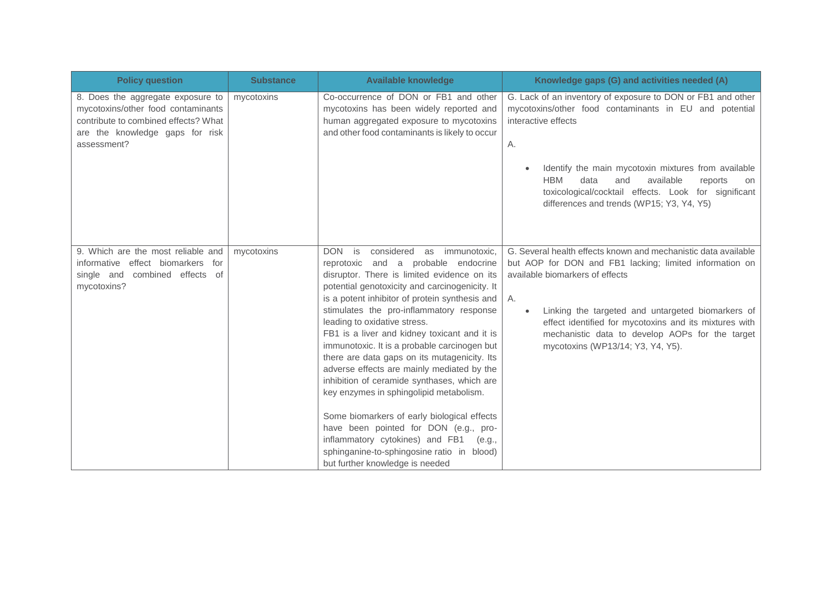| <b>Policy question</b>                                                                                                                                            | <b>Substance</b> | <b>Available knowledge</b>                                                                                                                                                                                                                                                                                                                                                                                                                                                                                                                                                                                                                                                                                                                                                                                               | Knowledge gaps (G) and activities needed (A)                                                                                                                                                                                                                                                                                                                                           |
|-------------------------------------------------------------------------------------------------------------------------------------------------------------------|------------------|--------------------------------------------------------------------------------------------------------------------------------------------------------------------------------------------------------------------------------------------------------------------------------------------------------------------------------------------------------------------------------------------------------------------------------------------------------------------------------------------------------------------------------------------------------------------------------------------------------------------------------------------------------------------------------------------------------------------------------------------------------------------------------------------------------------------------|----------------------------------------------------------------------------------------------------------------------------------------------------------------------------------------------------------------------------------------------------------------------------------------------------------------------------------------------------------------------------------------|
| 8. Does the aggregate exposure to<br>mycotoxins/other food contaminants<br>contribute to combined effects? What<br>are the knowledge gaps for risk<br>assessment? | mycotoxins       | Co-occurrence of DON or FB1 and other<br>mycotoxins has been widely reported and<br>human aggregated exposure to mycotoxins<br>and other food contaminants is likely to occur                                                                                                                                                                                                                                                                                                                                                                                                                                                                                                                                                                                                                                            | G. Lack of an inventory of exposure to DON or FB1 and other<br>mycotoxins/other food contaminants in EU and potential<br>interactive effects<br>Α.<br>Identify the main mycotoxin mixtures from available<br><b>HBM</b><br>data<br>available<br>and<br>reports<br>on<br>toxicological/cocktail effects. Look for significant<br>differences and trends (WP15; Y3, Y4, Y5)              |
| 9. Which are the most reliable and<br>informative effect biomarkers for<br>single and combined effects of<br>mycotoxins?                                          | mycotoxins       | considered<br>DON is<br>as immunotoxic,<br>reprotoxic and a probable endocrine<br>disruptor. There is limited evidence on its<br>potential genotoxicity and carcinogenicity. It<br>is a potent inhibitor of protein synthesis and<br>stimulates the pro-inflammatory response<br>leading to oxidative stress.<br>FB1 is a liver and kidney toxicant and it is<br>immunotoxic. It is a probable carcinogen but<br>there are data gaps on its mutagenicity. Its<br>adverse effects are mainly mediated by the<br>inhibition of ceramide synthases, which are<br>key enzymes in sphingolipid metabolism.<br>Some biomarkers of early biological effects<br>have been pointed for DON (e.g., pro-<br>inflammatory cytokines) and FB1 (e.g.,<br>sphinganine-to-sphingosine ratio in blood)<br>but further knowledge is needed | G. Several health effects known and mechanistic data available<br>but AOP for DON and FB1 lacking; limited information on<br>available biomarkers of effects<br>А.<br>Linking the targeted and untargeted biomarkers of<br>$\bullet$<br>effect identified for mycotoxins and its mixtures with<br>mechanistic data to develop AOPs for the target<br>mycotoxins (WP13/14; Y3, Y4, Y5). |